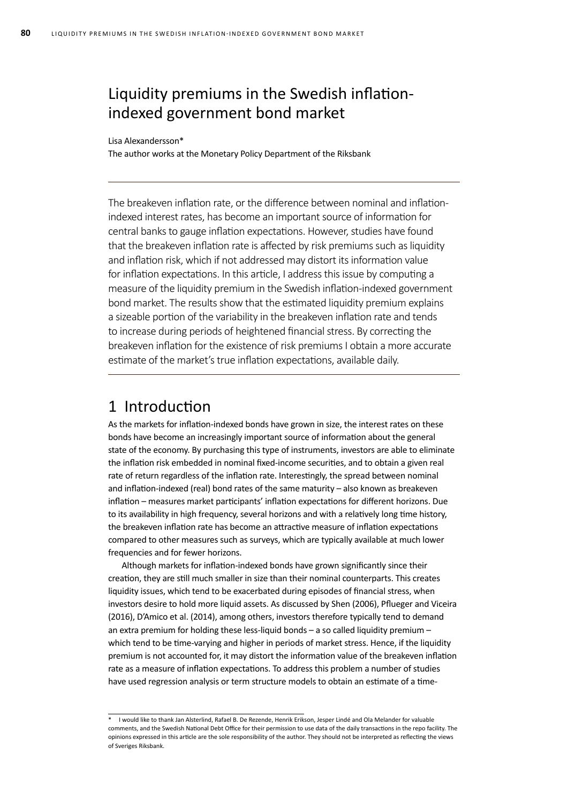## Liquidity premiums in the Swedish inflationindexed government bond market

### Lisa Alexandersson\*

The author works at the Monetary Policy Department of the Riksbank

The breakeven inflation rate, or the difference between nominal and inflationindexed interest rates, has become an important source of information for central banks to gauge inflation expectations. However, studies have found that the breakeven inflation rate is affected by risk premiums such as liquidity and inflation risk, which if not addressed may distort its information value for inflation expectations. In this article, I address this issue by computing a measure of the liquidity premium in the Swedish inflation-indexed government bond market. The results show that the estimated liquidity premium explains a sizeable portion of the variability in the breakeven inflation rate and tends to increase during periods of heightened financial stress. By correcting the breakeven inflation for the existence of risk premiums I obtain a more accurate estimate of the market's true inflation expectations, available daily.

## 1 Introduction

As the markets for inflation-indexed bonds have grown in size, the interest rates on these bonds have become an increasingly important source of information about the general state of the economy. By purchasing this type of instruments, investors are able to eliminate the inflation risk embedded in nominal fixed-income securities, and to obtain a given real rate of return regardless of the inflation rate. Interestingly, the spread between nominal and inflation-indexed (real) bond rates of the same maturity – also known as breakeven inflation – measures market participants' inflation expectations for different horizons. Due to its availability in high frequency, several horizons and with a relatively long time history, the breakeven inflation rate has become an attractive measure of inflation expectations compared to other measures such as surveys, which are typically available at much lower frequencies and for fewer horizons.

Although markets for inflation-indexed bonds have grown significantly since their creation, they are still much smaller in size than their nominal counterparts. This creates liquidity issues, which tend to be exacerbated during episodes of financial stress, when investors desire to hold more liquid assets. As discussed by Shen (2006), Pflueger and Viceira (2016), D'Amico et al. (2014), among others, investors therefore typically tend to demand an extra premium for holding these less-liquid bonds – a so called liquidity premium – which tend to be time-varying and higher in periods of market stress. Hence, if the liquidity premium is not accounted for, it may distort the information value of the breakeven inflation rate as a measure of inflation expectations. To address this problem a number of studies have used regression analysis or term structure models to obtain an estimate of a time-

<sup>\*</sup> I would like to thank Jan Alsterlind, Rafael B. De Rezende, Henrik Erikson, Jesper Lindé and Ola Melander for valuable comments, and the Swedish National Debt Office for their permission to use data of the daily transactions in the repo facility. The opinions expressed in this article are the sole responsibility of the author. They should not be interpreted as reflecting the views of Sveriges Riksbank.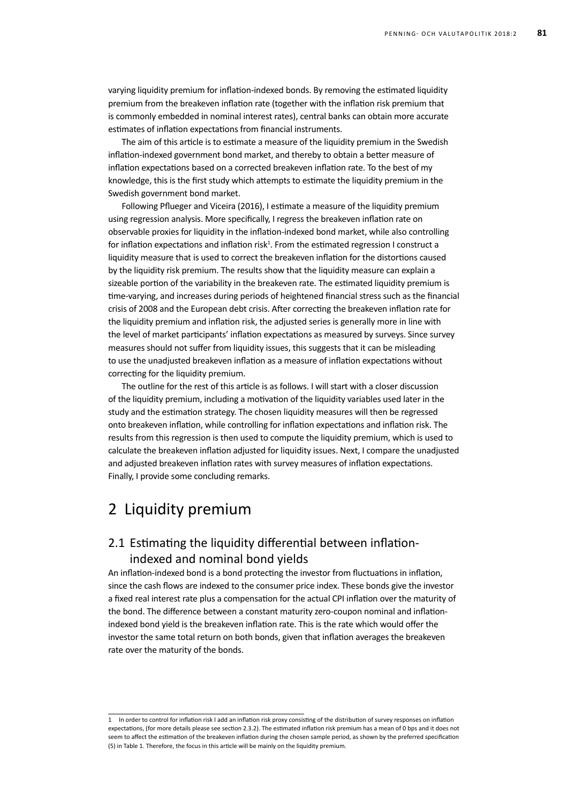varying liquidity premium for inflation-indexed bonds. By removing the estimated liquidity premium from the breakeven inflation rate (together with the inflation risk premium that is commonly embedded in nominal interest rates), central banks can obtain more accurate estimates of inflation expectations from financial instruments.

The aim of this article is to estimate a measure of the liquidity premium in the Swedish inflation-indexed government bond market, and thereby to obtain a better measure of inflation expectations based on a corrected breakeven inflation rate. To the best of my knowledge, this is the first study which attempts to estimate the liquidity premium in the Swedish government bond market.

Following Pflueger and Viceira (2016), I estimate a measure of the liquidity premium using regression analysis. More specifically, I regress the breakeven inflation rate on observable proxies for liquidity in the inflation-indexed bond market, while also controlling for inflation expectations and inflation risk<sup>1</sup>. From the estimated regression I construct a liquidity measure that is used to correct the breakeven inflation for the distortions caused by the liquidity risk premium. The results show that the liquidity measure can explain a sizeable portion of the variability in the breakeven rate. The estimated liquidity premium is time-varying, and increases during periods of heightened financial stress such as the financial crisis of 2008 and the European debt crisis. After correcting the breakeven inflation rate for the liquidity premium and inflation risk, the adjusted series is generally more in line with the level of market participants' inflation expectations as measured by surveys. Since survey measures should not suffer from liquidity issues, this suggests that it can be misleading to use the unadjusted breakeven inflation as a measure of inflation expectations without correcting for the liquidity premium.

The outline for the rest of this article is as follows. I will start with a closer discussion of the liquidity premium, including a motivation of the liquidity variables used later in the study and the estimation strategy. The chosen liquidity measures will then be regressed onto breakeven inflation, while controlling for inflation expectations and inflation risk. The results from this regression is then used to compute the liquidity premium, which is used to calculate the breakeven inflation adjusted for liquidity issues. Next, I compare the unadjusted and adjusted breakeven inflation rates with survey measures of inflation expectations. Finally, I provide some concluding remarks.

## 2 Liquidity premium

## 2.1 Estimating the liquidity differential between inflationindexed and nominal bond yields

An inflation-indexed bond is a bond protecting the investor from fluctuations in inflation, since the cash flows are indexed to the consumer price index. These bonds give the investor a fixed real interest rate plus a compensation for the actual CPI inflation over the maturity of the bond. The difference between a constant maturity zero-coupon nominal and inflationindexed bond yield is the breakeven inflation rate. This is the rate which would offer the investor the same total return on both bonds, given that inflation averages the breakeven rate over the maturity of the bonds.

<sup>1</sup> In order to control for inflation risk I add an inflation risk proxy consisting of the distribution of survey responses on inflation expectations, (for more details please see section 2.3.2). The estimated inflation risk premium has a mean of 0 bps and it does not seem to affect the estimation of the breakeven inflation during the chosen sample period, as shown by the preferred specification (5) in Table 1. Therefore, the focus in this article will be mainly on the liquidity premium.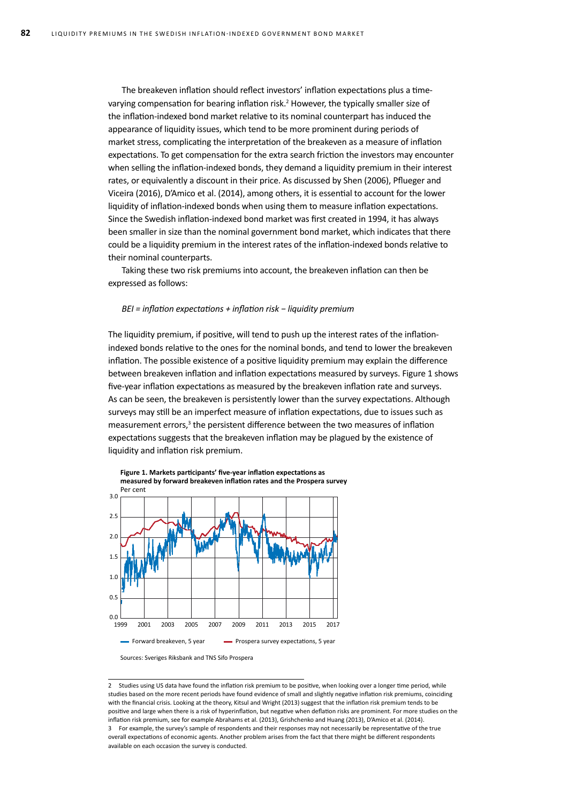The breakeven inflation should reflect investors' inflation expectations plus a timevarying compensation for bearing inflation risk.<sup>2</sup> However, the typically smaller size of the inflation-indexed bond market relative to its nominal counterpart has induced the appearance of liquidity issues, which tend to be more prominent during periods of market stress, complicating the interpretation of the breakeven as a measure of inflation expectations. To get compensation for the extra search friction the investors may encounter when selling the inflation-indexed bonds, they demand a liquidity premium in their interest rates, or equivalently a discount in their price. As discussed by Shen (2006), Pflueger and Viceira (2016), D'Amico et al. (2014), among others, it is essential to account for the lower liquidity of inflation-indexed bonds when using them to measure inflation expectations. Since the Swedish inflation-indexed bond market was first created in 1994, it has always been smaller in size than the nominal government bond market, which indicates that there could be a liquidity premium in the interest rates of the inflation-indexed bonds relative to their nominal counterparts.

Taking these two risk premiums into account, the breakeven inflation can then be expressed as follows:

### *BEI = inflation expectations + inflation risk − liquidity premium*

The liquidity premium, if positive, will tend to push up the interest rates of the inflationindexed bonds relative to the ones for the nominal bonds, and tend to lower the breakeven inflation. The possible existence of a positive liquidity premium may explain the difference between breakeven inflation and inflation expectations measured by surveys. Figure 1 shows five-year inflation expectations as measured by the breakeven inflation rate and surveys. As can be seen, the breakeven is persistently lower than the survey expectations. Although surveys may still be an imperfect measure of inflation expectations, due to issues such as measurement errors,<sup>3</sup> the persistent difference between the two measures of inflation expectations suggests that the breakeven inflation may be plagued by the existence of liquidity and inflation risk premium.





2 Studies using US data have found the inflation risk premium to be positive, when looking over a longer time period, while studies based on the more recent periods have found evidence of small and slightly negative inflation risk premiums, coinciding with the financial crisis. Looking at the theory, Kitsul and Wright (2013) suggest that the inflation risk premium tends to be positive and large when there is a risk of hyperinflation, but negative when deflation risks are prominent. For more studies on the inflation risk premium, see for example Abrahams et al. (2013), Grishchenko and Huang (2013), D'Amico et al. (2014). 3 For example, the survey's sample of respondents and their responses may not necessarily be representative of the true overall expectations of economic agents. Another problem arises from the fact that there might be different respondents available on each occasion the survey is conducted.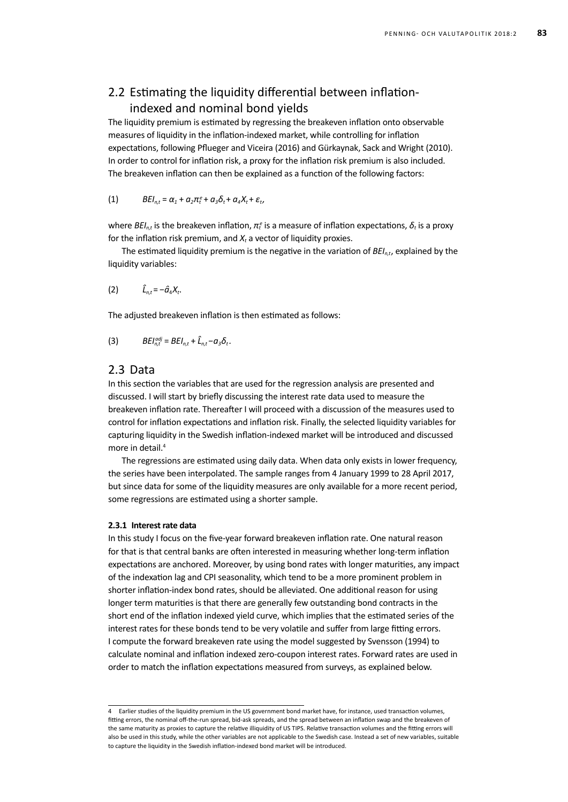## 2.2 Estimating the liquidity differential between inflationindexed and nominal bond yields

The liquidity premium is estimated by regressing the breakeven inflation onto observable measures of liquidity in the inflation-indexed market, while controlling for inflation expectations, following Pflueger and Viceira (2016) and Gürkaynak, Sack and Wright (2010). In order to control for inflation risk, a proxy for the inflation risk premium is also included. The breakeven inflation can then be explained as a function of the following factors:

(1) 
$$
BEI_{n,t} = \alpha_1 + \alpha_2 \pi_t^e + \alpha_3 \delta_t + \alpha_4 X_t + \varepsilon_t,
$$

where *BEI<sub>n,t</sub>* is the breakeven inflation, *π<sub>t</sub>* is a measure of inflation expectations,  $\delta_t$  is a proxy for the inflation risk premium, and *Xt* a vector of liquidity proxies.

The estimated liquidity premium is the negative in the variation of *BEIn,t*, explained by the liquidity variables:

$$
(2) \hspace{1cm} \hat{L}_{n,t} = -\hat{a}_4 X_t.
$$

The adjusted breakeven inflation is then estimated as follows:

(3) 
$$
BEI_{n,t}^{adj} = BEI_{n,t} + \hat{L}_{n,t} - \alpha_3 \delta_t.
$$

### 2.3 Data

In this section the variables that are used for the regression analysis are presented and discussed. I will start by briefly discussing the interest rate data used to measure the breakeven inflation rate. Thereafter I will proceed with a discussion of the measures used to control for inflation expectations and inflation risk. Finally, the selected liquidity variables for capturing liquidity in the Swedish inflation-indexed market will be introduced and discussed more in detail.<sup>4</sup>

The regressions are estimated using daily data. When data only exists in lower frequency, the series have been interpolated. The sample ranges from 4 January 1999 to 28 April 2017, but since data for some of the liquidity measures are only available for a more recent period, some regressions are estimated using a shorter sample.

### **2.3.1 Interest rate data**

In this study I focus on the five-year forward breakeven inflation rate. One natural reason for that is that central banks are often interested in measuring whether long-term inflation expectations are anchored. Moreover, by using bond rates with longer maturities, any impact of the indexation lag and CPI seasonality, which tend to be a more prominent problem in shorter inflation-index bond rates, should be alleviated. One additional reason for using longer term maturities is that there are generally few outstanding bond contracts in the short end of the inflation indexed yield curve, which implies that the estimated series of the interest rates for these bonds tend to be very volatile and suffer from large fitting errors. I compute the forward breakeven rate using the model suggested by Svensson (1994) to calculate nominal and inflation indexed zero-coupon interest rates. Forward rates are used in order to match the inflation expectations measured from surveys, as explained below.

<sup>4</sup> Earlier studies of the liquidity premium in the US government bond market have, for instance, used transaction volumes, fitting errors, the nominal off-the-run spread, bid-ask spreads, and the spread between an inflation swap and the breakeven of the same maturity as proxies to capture the relative illiquidity of US TIPS. Relative transaction volumes and the fitting errors will also be used in this study, while the other variables are not applicable to the Swedish case. Instead a set of new variables, suitable to capture the liquidity in the Swedish inflation-indexed bond market will be introduced.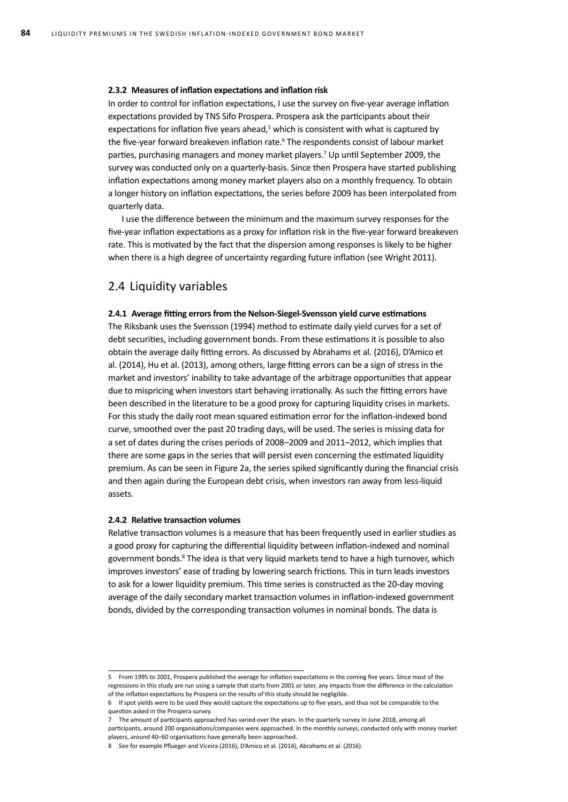#### **2.3.2 Measures of inflation expectations and inflation risk**

In order to control for inflation expectations, I use the survey on five-year average inflation expectations provided by TNS Sifo Prospera. Prospera ask the participants about their expectations for inflation five years ahead,<sup>5</sup> which is consistent with what is captured by the five-year forward breakeven inflation rate.<sup>6</sup> The respondents consist of labour market parties, purchasing managers and money market players.<sup>7</sup> Up until September 2009, the survey was conducted only on a quarterly-basis. Since then Prospera have started publishing inflation expectations among money market players also on a monthly frequency. To obtain a longer history on inflation expectations, the series before 2009 has been interpolated from quarterly data.

I use the difference between the minimum and the maximum survey responses for the five-year inflation expectations as a proxy for inflation risk in the five-year forward breakeven rate. This is motivated by the fact that the dispersion among responses is likely to be higher when there is a high degree of uncertainty regarding future inflation (see Wright 2011).

### 2.4 Liquidity variables

### **2.4.1 Average fitting errors from the Nelson-Siegel-Svensson yield curve estimations**

The Riksbank uses the Svensson (1994) method to estimate daily yield curves for a set of debt securities, including government bonds. From these estimations it is possible to also obtain the average daily fitting errors. As discussed by Abrahams et al. (2016), D'Amico et al. (2014), Hu et al. (2013), among others, large fitting errors can be a sign of stress in the market and investors' inability to take advantage of the arbitrage opportunities that appear due to mispricing when investors start behaving irrationally. As such the fitting errors have been described in the literature to be a good proxy for capturing liquidity crises in markets. For this study the daily root mean squared estimation error for the inflation-indexed bond curve, smoothed over the past 20 trading days, will be used. The series is missing data for a set of dates during the crises periods of 2008–2009 and 2011–2012, which implies that there are some gaps in the series that will persist even concerning the estimated liquidity premium. As can be seen in Figure 2a, the series spiked significantly during the financial crisis and then again during the European debt crisis, when investors ran away from less-liquid assets.

#### **2.4.2 Relative transaction volumes**

Relative transaction volumes is a measure that has been frequently used in earlier studies as a good proxy for capturing the differential liquidity between inflation-indexed and nominal government bonds.<sup>8</sup> The idea is that very liquid markets tend to have a high turnover, which improves investors' ease of trading by lowering search frictions. This in turn leads investors to ask for a lower liquidity premium. This time series is constructed as the 20-day moving average of the daily secondary market transaction volumes in inflation-indexed government bonds, divided by the corresponding transaction volumes in nominal bonds. The data is

<sup>5</sup> From 1995 to 2001, Prospera published the average for inflation expectations in the coming five years. Since most of the regressions in this study are run using a sample that starts from 2001 or later, any impacts from the difference in the calculation of the inflation expectations by Prospera on the results of this study should be negligible.

<sup>6</sup> If spot yields were to be used they would capture the expectations up to five years, and thus not be comparable to the question asked in the Prospera survey.

<sup>7</sup> The amount of participants approached has varied over the years. In the quarterly survey in June 2018, among all participants, around 200 organisations/companies were approached. In the monthly surveys, conducted only with money market players, around 40–60 organisations have generally been approached.

<sup>8</sup> See for example Pflueger and Viceira (2016), D'Amico et al. (2014), Abrahams et al. (2016).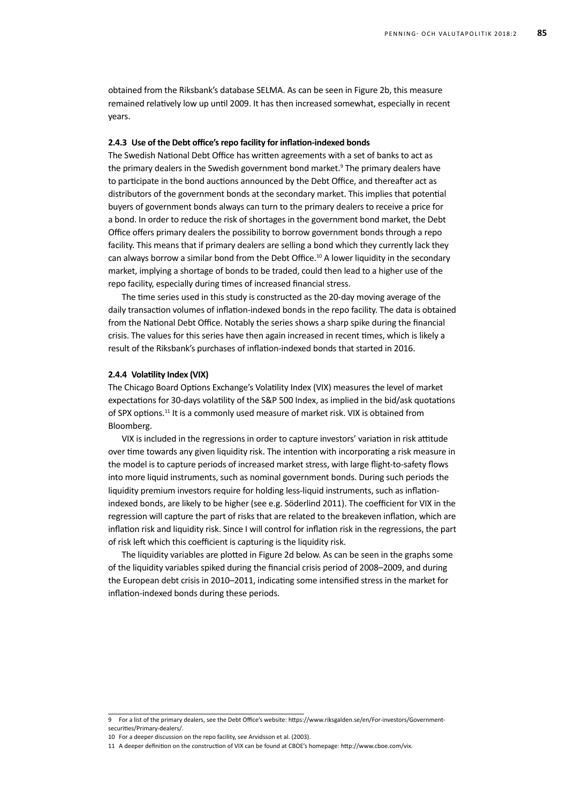obtained from the Riksbank's database SELMA. As can be seen in Figure 2b, this measure remained relatively low up until 2009. It has then increased somewhat, especially in recent years.

### **2.4.3 Use of the Debt office's repo facility for inflation-indexed bonds**

The Swedish National Debt Office has written agreements with a set of banks to act as the primary dealers in the Swedish government bond market.<sup>9</sup> The primary dealers have to participate in the bond auctions announced by the Debt Office, and thereafter act as distributors of the government bonds at the secondary market. This implies that potential buyers of government bonds always can turn to the primary dealers to receive a price for a bond. In order to reduce the risk of shortages in the government bond market, the Debt Office offers primary dealers the possibility to borrow government bonds through a repo facility. This means that if primary dealers are selling a bond which they currently lack they can always borrow a similar bond from the Debt Office.<sup>10</sup> A lower liquidity in the secondary market, implying a shortage of bonds to be traded, could then lead to a higher use of the repo facility, especially during times of increased financial stress.

The time series used in this study is constructed as the 20-day moving average of the daily transaction volumes of inflation-indexed bonds in the repo facility. The data is obtained from the National Debt Office. Notably the series shows a sharp spike during the financial crisis. The values for this series have then again increased in recent times, which is likely a result of the Riksbank's purchases of inflation-indexed bonds that started in 2016.

### **2.4.4 Volatility Index (VIX)**

The Chicago Board Options Exchange's Volatility Index (VIX) measures the level of market expectations for 30-days volatility of the S&P 500 Index, as implied in the bid/ask quotations of SPX options.<sup>11</sup> It is a commonly used measure of market risk. VIX is obtained from Bloomberg.

VIX is included in the regressions in order to capture investors' variation in risk attitude over time towards any given liquidity risk. The intention with incorporating a risk measure in the model is to capture periods of increased market stress, with large flight-to-safety flows into more liquid instruments, such as nominal government bonds. During such periods the liquidity premium investors require for holding less-liquid instruments, such as inflationindexed bonds, are likely to be higher (see e.g. Söderlind 2011). The coefficient for VIX in the regression will capture the part of risks that are related to the breakeven inflation, which are inflation risk and liquidity risk. Since I will control for inflation risk in the regressions, the part of risk left which this coefficient is capturing is the liquidity risk.

The liquidity variables are plotted in Figure 2d below. As can be seen in the graphs some of the liquidity variables spiked during the financial crisis period of 2008–2009, and during the European debt crisis in 2010–2011, indicating some intensified stress in the market for inflation-indexed bonds during these periods.

<sup>9</sup> For a list of the primary dealers, see the Debt Office's website: https://www.riksgalden.se/en/For-investors/Governmentsecurities/Primary-dealers/.

<sup>10</sup> For a deeper discussion on the repo facility, see Arvidsson et al. (2003).

<sup>11</sup> A deeper definition on the construction of VIX can be found at CBOE's homepage: http://www.cboe.com/vix.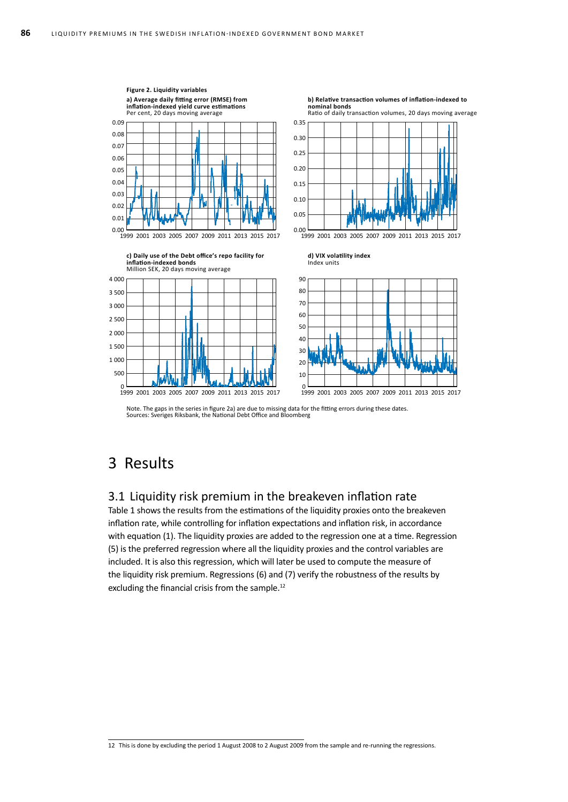

Note. The gaps in the series in figure 2a) are due to missing data for the fitting errors during these dates. Sources: Sveriges Riksbank, the National Debt Office and Bloomberg

## 3 Results

### 3.1 Liquidity risk premium in the breakeven inflation rate

Table 1 shows the results from the estimations of the liquidity proxies onto the breakeven inflation rate, while controlling for inflation expectations and inflation risk, in accordance with equation (1). The liquidity proxies are added to the regression one at a time. Regression (5) is the preferred regression where all the liquidity proxies and the control variables are included. It is also this regression, which will later be used to compute the measure of the liquidity risk premium. Regressions (6) and (7) verify the robustness of the results by excluding the financial crisis from the sample.<sup>12</sup>

<sup>12</sup> This is done by excluding the period 1 August 2008 to 2 August 2009 from the sample and re-running the regressions.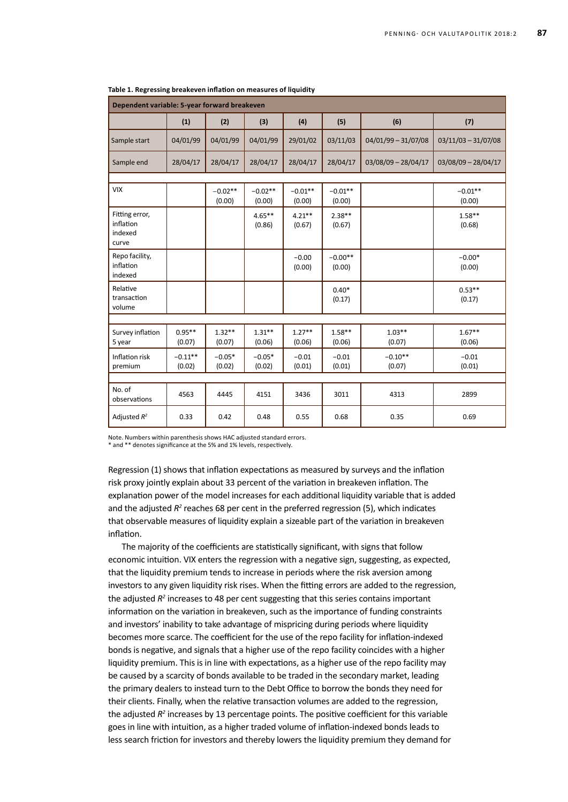| Dependent variable: 5-year forward breakeven    |                     |                     |                     |                     |                     |                       |                       |  |  |  |  |
|-------------------------------------------------|---------------------|---------------------|---------------------|---------------------|---------------------|-----------------------|-----------------------|--|--|--|--|
|                                                 | (1)                 | (2)                 | (3)                 | (4)                 | (5)                 | (6)                   | (7)                   |  |  |  |  |
| Sample start                                    | 04/01/99            | 04/01/99            | 04/01/99            | 29/01/02            | 03/11/03            | $04/01/99 - 31/07/08$ | $03/11/03 - 31/07/08$ |  |  |  |  |
| Sample end                                      | 28/04/17            | 28/04/17            | 28/04/17            | 28/04/17            | 28/04/17            | $03/08/09 - 28/04/17$ | 03/08/09 - 28/04/17   |  |  |  |  |
|                                                 |                     |                     |                     |                     |                     |                       |                       |  |  |  |  |
| <b>VIX</b>                                      |                     | $-0.02**$<br>(0.00) | $-0.02**$<br>(0.00) | $-0.01**$<br>(0.00) | $-0.01**$<br>(0.00) |                       | $-0.01**$<br>(0.00)   |  |  |  |  |
| Fitting error,<br>inflation<br>indexed<br>curve |                     |                     | $4.65***$<br>(0.86) | $4.21***$<br>(0.67) | $2.38**$<br>(0.67)  |                       | $1.58**$<br>(0.68)    |  |  |  |  |
| Repo facility,<br>inflation<br>indexed          |                     |                     |                     | $-0.00$<br>(0.00)   | $-0.00**$<br>(0.00) |                       | $-0.00*$<br>(0.00)    |  |  |  |  |
| Relative<br>transaction<br>volume               |                     |                     |                     |                     | $0.40*$<br>(0.17)   |                       | $0.53**$<br>(0.17)    |  |  |  |  |
|                                                 |                     |                     |                     |                     |                     |                       |                       |  |  |  |  |
| Survey inflation<br>5 year                      | $0.95**$<br>(0.07)  | $1.32**$<br>(0.07)  | $1.31**$<br>(0.06)  | $1.27**$<br>(0.06)  | $1.58***$<br>(0.06) | $1.03**$<br>(0.07)    | $1.67**$<br>(0.06)    |  |  |  |  |
| Inflation risk<br>premium                       | $-0.11**$<br>(0.02) | $-0.05*$<br>(0.02)  | $-0.05*$<br>(0.02)  | $-0.01$<br>(0.01)   | $-0.01$<br>(0.01)   | $-0.10**$<br>(0.07)   | $-0.01$<br>(0.01)     |  |  |  |  |
|                                                 |                     |                     |                     |                     |                     |                       |                       |  |  |  |  |
| No. of<br>observations                          | 4563                | 4445                | 4151                | 3436                | 3011                | 4313                  | 2899                  |  |  |  |  |
| Adjusted $R^2$                                  | 0.33                | 0.42                | 0.48                | 0.55                | 0.68                | 0.35                  | 0.69                  |  |  |  |  |

| Table 1. Regressing breakeven inflation on measures of liquidity |  |
|------------------------------------------------------------------|--|
|------------------------------------------------------------------|--|

Note. Numbers within parenthesis shows HAC adjusted standard errors.

\* and \*\* denotes significance at the 5% and 1% levels, respectively.

Regression (1) shows that inflation expectations as measured by surveys and the inflation risk proxy jointly explain about 33 percent of the variation in breakeven inflation. The explanation power of the model increases for each additional liquidity variable that is added and the adjusted R<sup>2</sup> reaches 68 per cent in the preferred regression (5), which indicates that observable measures of liquidity explain a sizeable part of the variation in breakeven inflation.

The majority of the coefficients are statistically significant, with signs that follow economic intuition. VIX enters the regression with a negative sign, suggesting, as expected, that the liquidity premium tends to increase in periods where the risk aversion among investors to any given liquidity risk rises. When the fitting errors are added to the regression, the adjusted R<sup>2</sup> increases to 48 per cent suggesting that this series contains important information on the variation in breakeven, such as the importance of funding constraints and investors' inability to take advantage of mispricing during periods where liquidity becomes more scarce. The coefficient for the use of the repo facility for inflation-indexed bonds is negative, and signals that a higher use of the repo facility coincides with a higher liquidity premium. This is in line with expectations, as a higher use of the repo facility may be caused by a scarcity of bonds available to be traded in the secondary market, leading the primary dealers to instead turn to the Debt Office to borrow the bonds they need for their clients. Finally, when the relative transaction volumes are added to the regression, the adjusted R<sup>2</sup> increases by 13 percentage points. The positive coefficient for this variable goes in line with intuition, as a higher traded volume of inflation-indexed bonds leads to less search friction for investors and thereby lowers the liquidity premium they demand for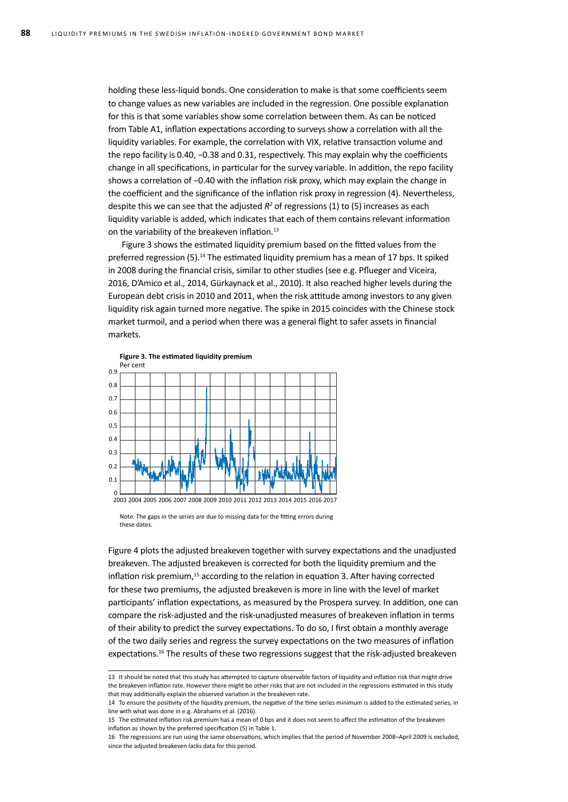holding these less-liquid bonds. One consideration to make is that some coefficients seem to change values as new variables are included in the regression. One possible explanation for this is that some variables show some correlation between them. As can be noticed from Table A1, inflation expectations according to surveys show a correlation with all the liquidity variables. For example, the correlation with VIX, relative transaction volume and the repo facility is 0.40, *−*0.38 and 0.31, respectively. This may explain why the coefficients change in all specifications, in particular for the survey variable. In addition, the repo facility shows a correlation of *−*0.40 with the inflation risk proxy, which may explain the change in the coefficient and the significance of the inflation risk proxy in regression (4). Nevertheless, despite this we can see that the adjusted  $R^2$  of regressions (1) to (5) increases as each liquidity variable is added, which indicates that each of them contains relevant information on the variability of the breakeven inflation.<sup>13</sup>

Figure 3 shows the estimated liquidity premium based on the fitted values from the preferred regression (5).14 The estimated liquidity premium has a mean of 17 bps. It spiked in 2008 during the financial crisis, similar to other studies (see e.g. Pflueger and Viceira, 2016, D'Amico et al., 2014, Gürkaynack et al., 2010). It also reached higher levels during the European debt crisis in 2010 and 2011, when the risk attitude among investors to any given liquidity risk again turned more negative. The spike in 2015 coincides with the Chinese stock market turmoil, and a period when there was a general flight to safer assets in financial markets.



Note. The gaps in the series are due to missing data for the fitting errors during these dates.

Figure 4 plots the adjusted breakeven together with survey expectations and the unadjusted breakeven. The adjusted breakeven is corrected for both the liquidity premium and the inflation risk premium, $15$  according to the relation in equation 3. After having corrected for these two premiums, the adjusted breakeven is more in line with the level of market participants' inflation expectations, as measured by the Prospera survey. In addition, one can compare the risk-adjusted and the risk-unadjusted measures of breakeven inflation in terms of their ability to predict the survey expectations. To do so, I first obtain a monthly average of the two daily series and regress the survey expectations on the two measures of inflation expectations.<sup>16</sup> The results of these two regressions suggest that the risk-adjusted breakeven

<sup>13</sup> It should be noted that this study has attempted to capture observable factors of liquidity and inflation risk that might drive the breakeven inflation rate. However there might be other risks that are not included in the regressions estimated in this study that may additionally explain the observed variation in the breakeven rate.

<sup>14</sup> To ensure the positivity of the liquidity premium, the negative of the time series minimum is added to the estimated series, in line with what was done in e.g. Abrahams et al. (2016).

<sup>15</sup> The estimated inflation risk premium has a mean of 0 bps and it does not seem to affect the estimation of the breakeven inflation as shown by the preferred specification (5) in Table 1.

<sup>16</sup> The regressions are run using the same observations, which implies that the period of November 2008–April 2009 is excluded, since the adjusted breakeven lacks data for this period.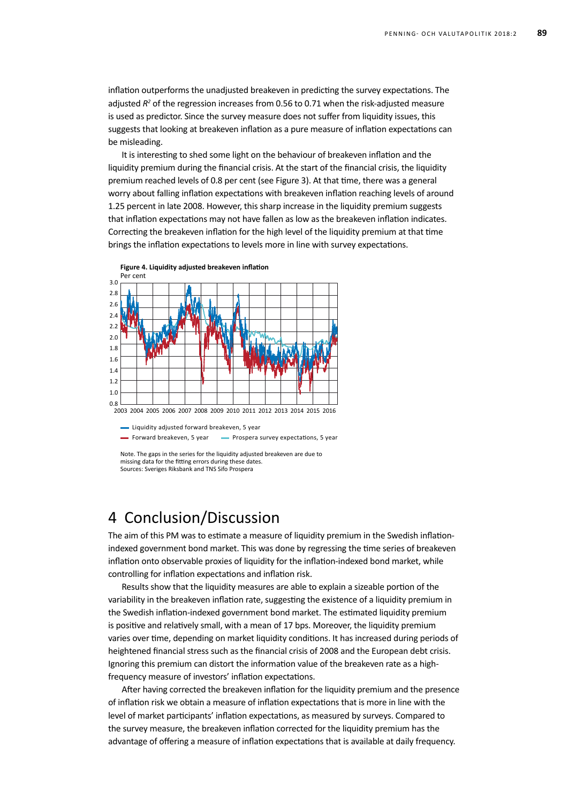inflation outperforms the unadjusted breakeven in predicting the survey expectations. The adjusted R<sup>2</sup> of the regression increases from 0.56 to 0.71 when the risk-adjusted measure is used as predictor. Since the survey measure does not suffer from liquidity issues, this suggests that looking at breakeven inflation as a pure measure of inflation expectations can be misleading.

It is interesting to shed some light on the behaviour of breakeven inflation and the liquidity premium during the financial crisis. At the start of the financial crisis, the liquidity premium reached levels of 0.8 per cent (see Figure 3). At that time, there was a general worry about falling inflation expectations with breakeven inflation reaching levels of around 1.25 percent in late 2008. However, this sharp increase in the liquidity premium suggests that inflation expectations may not have fallen as low as the breakeven inflation indicates. Correcting the breakeven inflation for the high level of the liquidity premium at that time brings the inflation expectations to levels more in line with survey expectations.



2003 2005 2007 2009 2011 2013 2015 2004 2006 2008 2010 2012 2014 2016

Liquidity adjusted forward breakeven, 5 year - Forward breakeven, 5 year - Prospera survey expectations, 5 year

Note. The gaps in the series for the liquidity adjusted breakeven are due to missing data for the fitting errors during these dates. Sources: Sveriges Riksbank and TNS Sifo Prospera

## 4 Conclusion/Discussion

The aim of this PM was to estimate a measure of liquidity premium in the Swedish inflationindexed government bond market. This was done by regressing the time series of breakeven inflation onto observable proxies of liquidity for the inflation-indexed bond market, while controlling for inflation expectations and inflation risk.

Results show that the liquidity measures are able to explain a sizeable portion of the variability in the breakeven inflation rate, suggesting the existence of a liquidity premium in the Swedish inflation-indexed government bond market. The estimated liquidity premium is positive and relatively small, with a mean of 17 bps. Moreover, the liquidity premium varies over time, depending on market liquidity conditions. It has increased during periods of heightened financial stress such as the financial crisis of 2008 and the European debt crisis. Ignoring this premium can distort the information value of the breakeven rate as a highfrequency measure of investors' inflation expectations.

After having corrected the breakeven inflation for the liquidity premium and the presence of inflation risk we obtain a measure of inflation expectations that is more in line with the level of market participants' inflation expectations, as measured by surveys. Compared to the survey measure, the breakeven inflation corrected for the liquidity premium has the advantage of offering a measure of inflation expectations that is available at daily frequency.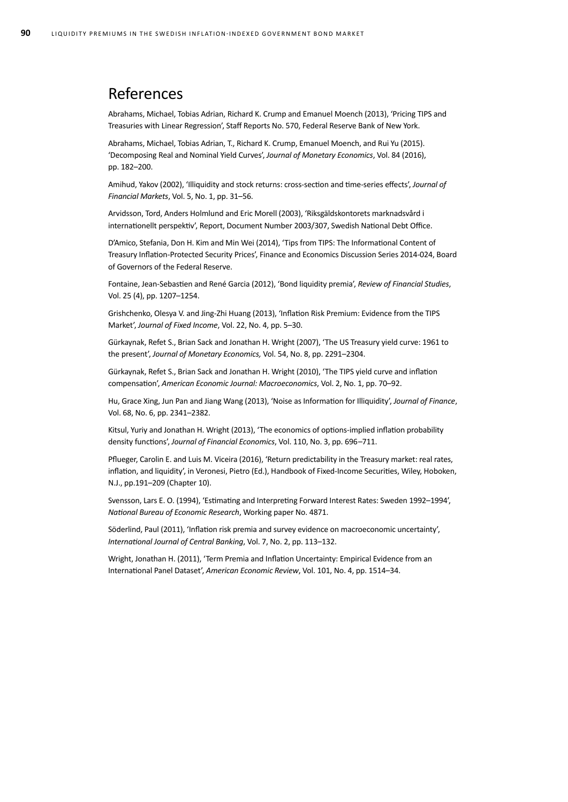## References

Abrahams, Michael, Tobias Adrian, Richard K. Crump and Emanuel Moench (2013), 'Pricing TIPS and Treasuries with Linear Regression', Staff Reports No. 570, Federal Reserve Bank of New York.

Abrahams, Michael, Tobias Adrian, T., Richard K. Crump, Emanuel Moench, and Rui Yu (2015). 'Decomposing Real and Nominal Yield Curves', *Journal of Monetary Economics*, Vol. 84 (2016), pp. 182–200.

Amihud, Yakov (2002), 'Illiquidity and stock returns: cross-section and time-series effects', *Journal of Financial Markets*, Vol. 5, No. 1, pp. 31–56.

Arvidsson, Tord, Anders Holmlund and Eric Morell (2003), 'Riksgäldskontorets marknadsvård i internationellt perspektiv', Report, Document Number 2003/307, Swedish National Debt Office.

D'Amico, Stefania, Don H. Kim and Min Wei (2014), 'Tips from TIPS: The Informational Content of Treasury Inflation-Protected Security Prices', Finance and Economics Discussion Series 2014-024, Board of Governors of the Federal Reserve.

Fontaine, Jean-Sebastien and René Garcia (2012), 'Bond liquidity premia', *Review of Financial Studies*, Vol. 25 (4), pp. 1207–1254.

Grishchenko, Olesya V. and Jing-Zhi Huang (2013), 'Inflation Risk Premium: Evidence from the TIPS Market', *Journal of Fixed Income*, Vol. 22, No. 4, pp. 5–30.

Gürkaynak, Refet S., Brian Sack and Jonathan H. Wright (2007), 'The US Treasury yield curve: 1961 to the present', *Journal of Monetary Economics,* Vol. 54, No. 8, pp. 2291–2304.

Gürkaynak, Refet S., Brian Sack and Jonathan H. Wright (2010), 'The TIPS yield curve and inflation compensation', *American Economic Journal: Macroeconomics*, Vol. 2, No. 1, pp. 70–92.

Hu, Grace Xing, Jun Pan and Jiang Wang (2013), 'Noise as Information for Illiquidity', *Journal of Finance*, Vol. 68, No. 6, pp. 2341–2382.

Kitsul, Yuriy and Jonathan H. Wright (2013), 'The economics of options-implied inflation probability density functions', *Journal of Financial Economics*, Vol. 110, No. 3, pp. 696–711.

Pflueger, Carolin E. and Luis M. Viceira (2016), 'Return predictability in the Treasury market: real rates, inflation, and liquidity', in Veronesi, Pietro (Ed.), Handbook of Fixed-Income Securities, Wiley, Hoboken, N.J., pp.191–209 (Chapter 10).

Svensson, Lars E. O. (1994), 'Estimating and Interpreting Forward Interest Rates: Sweden 1992–1994', *National Bureau of Economic Research*, Working paper No. 4871.

Söderlind, Paul (2011), 'Inflation risk premia and survey evidence on macroeconomic uncertainty', *International Journal of Central Banking*, Vol. 7, No. 2, pp. 113–132.

Wright, Jonathan H. (2011), 'Term Premia and Inflation Uncertainty: Empirical Evidence from an International Panel Dataset', *American Economic Review*, Vol. 101, No. 4, pp. 1514–34.